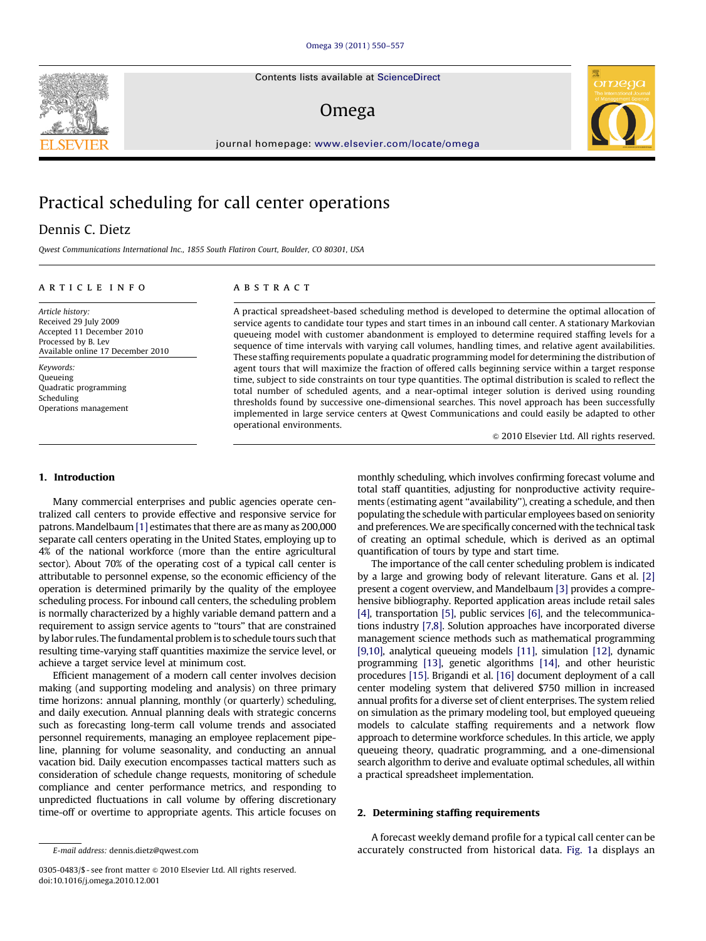Contents lists available at ScienceDirect

### Omega

journal homepage: [www.elsevier.com/locate/omega](www.elsevier.com/ome)

## Practical scheduling for call center operations

Dennis C. Dietz

Qwest Communications International Inc., 1855 South Flatiron Court, Boulder, CO 80301, USA

#### article info

Article history: Received 29 July 2009 Accepted 11 December 2010 Processed by B. Lev Available online 17 December 2010

Keywords: Queueing Quadratic programming Scheduling Operations management

#### **ABSTRACT**

A practical spreadsheet-based scheduling method is developed to determine the optimal allocation of service agents to candidate tour types and start times in an inbound call center. A stationary Markovian queueing model with customer abandonment is employed to determine required staffing levels for a sequence of time intervals with varying call volumes, handling times, and relative agent availabilities. These staffing requirements populate a quadratic programming model for determining the distribution of agent tours that will maximize the fraction of offered calls beginning service within a target response time, subject to side constraints on tour type quantities. The optimal distribution is scaled to reflect the total number of scheduled agents, and a near-optimal integer solution is derived using rounding thresholds found by successive one-dimensional searches. This novel approach has been successfully implemented in large service centers at Qwest Communications and could easily be adapted to other operational environments.

 $\odot$  2010 Elsevier Ltd. All rights reserved.

#### 1. Introduction

Many commercial enterprises and public agencies operate centralized call centers to provide effective and responsive service for patrons. Mandelbaum [\[1\]](#page--1-0) estimates that there are as many as 200,000 separate call centers operating in the United States, employing up to 4% of the national workforce (more than the entire agricultural sector). About 70% of the operating cost of a typical call center is attributable to personnel expense, so the economic efficiency of the operation is determined primarily by the quality of the employee scheduling process. For inbound call centers, the scheduling problem is normally characterized by a highly variable demand pattern and a requirement to assign service agents to ''tours'' that are constrained by labor rules. The fundamental problem is to schedule tours such that resulting time-varying staff quantities maximize the service level, or achieve a target service level at minimum cost.

Efficient management of a modern call center involves decision making (and supporting modeling and analysis) on three primary time horizons: annual planning, monthly (or quarterly) scheduling, and daily execution. Annual planning deals with strategic concerns such as forecasting long-term call volume trends and associated personnel requirements, managing an employee replacement pipeline, planning for volume seasonality, and conducting an annual vacation bid. Daily execution encompasses tactical matters such as consideration of schedule change requests, monitoring of schedule compliance and center performance metrics, and responding to unpredicted fluctuations in call volume by offering discretionary time-off or overtime to appropriate agents. This article focuses on monthly scheduling, which involves confirming forecast volume and total staff quantities, adjusting for nonproductive activity requirements (estimating agent ''availability''), creating a schedule, and then populating the schedule with particular employees based on seniority and preferences.We are specifically concerned with the technical task of creating an optimal schedule, which is derived as an optimal quantification of tours by type and start time.

The importance of the call center scheduling problem is indicated by a large and growing body of relevant literature. Gans et al. [\[2\]](#page--1-0) present a cogent overview, and Mandelbaum [\[3\]](#page--1-0) provides a comprehensive bibliography. Reported application areas include retail sales [\[4\]](#page--1-0), transportation [\[5\]](#page--1-0), public services [\[6\]](#page--1-0), and the telecommunications industry [\[7,8\]](#page--1-0). Solution approaches have incorporated diverse management science methods such as mathematical programming [\[9,10\]](#page--1-0), analytical queueing models [\[11\],](#page--1-0) simulation [\[12\]](#page--1-0), dynamic programming [\[13\]](#page--1-0), genetic algorithms [\[14\]](#page--1-0), and other heuristic procedures [\[15\]](#page--1-0). Brigandi et al. [\[16\]](#page--1-0) document deployment of a call center modeling system that delivered \$750 million in increased annual profits for a diverse set of client enterprises. The system relied on simulation as the primary modeling tool, but employed queueing models to calculate staffing requirements and a network flow approach to determine workforce schedules. In this article, we apply queueing theory, quadratic programming, and a one-dimensional search algorithm to derive and evaluate optimal schedules, all within a practical spreadsheet implementation.

#### 2. Determining staffing requirements

A forecast weekly demand profile for a typical call center can be accurately constructed from historical data. [Fig. 1](#page-1-0)a displays an





E-mail address: [dennis.dietz@qwest.com](mailto:dennis.dietz@qwest.com)

<sup>0305-0483/\$ -</sup> see front matter  $\odot$  2010 Elsevier Ltd. All rights reserved. doi:[10.1016/j.omega.2010.12.001](dx.doi.org/10.1016/j.omega.2010.12.001)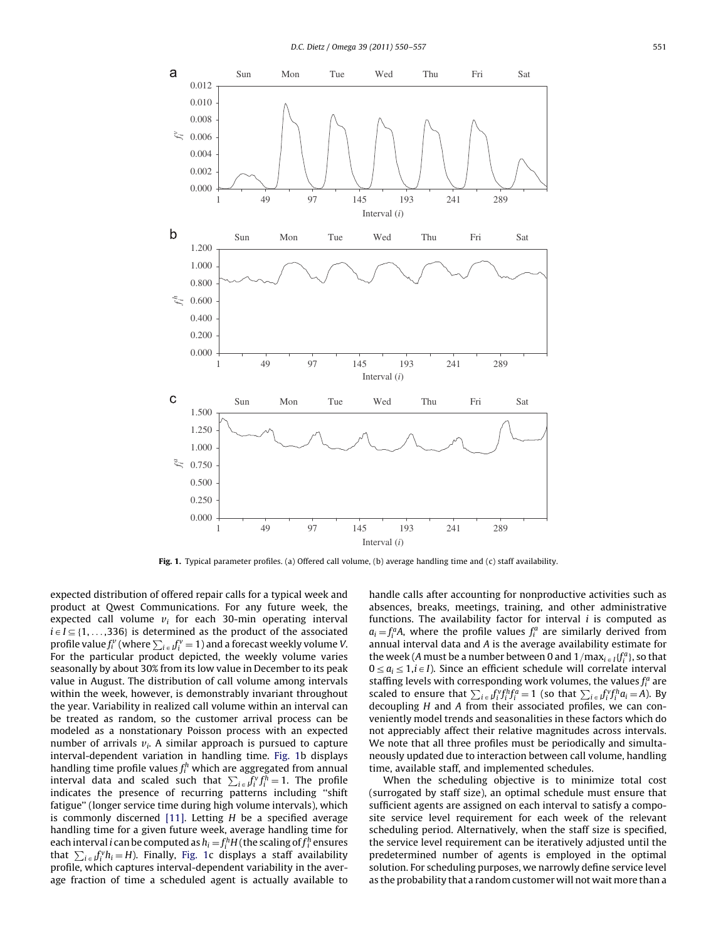<span id="page-1-0"></span>

Fig. 1. Typical parameter profiles. (a) Offered call volume, (b) average handling time and (c) staff availability.

expected distribution of offered repair calls for a typical week and product at Qwest Communications. For any future week, the expected call volume  $v_i$  for each 30-min operating interval  $i \in I \subseteq \{1, \ldots, 336\}$  is determined as the product of the associated profile value  $f_i^{\nu}$  (where  $\sum_{i \in J} f_i^{\nu} = 1$ ) and a forecast weekly volume V. For the particular product depicted, the weekly volume varies seasonally by about 30% from its low value in December to its peak value in August. The distribution of call volume among intervals within the week, however, is demonstrably invariant throughout the year. Variability in realized call volume within an interval can be treated as random, so the customer arrival process can be modeled as a nonstationary Poisson process with an expected number of arrivals  $v_i$ . A similar approach is pursued to capture interval-dependent variation in handling time. Fig. 1b displays handling time profile values  $f_i^h$  which are aggregated from annual interval data and scaled such that  $\sum_{i \in I} f_i^v f_i^h = 1$ . The profile indicates the presence of recurring patterns including ''shift fatigue'' (longer service time during high volume intervals), which is commonly discerned [\[11\]](#page--1-0). Letting  $H$  be a specified average handling time for a given future week, average handling time for each interval  $i$  can be computed as  $h_i\!=\!f_i^hH$  (the scaling of  $f_i^h$  ensures that  $\sum_{i \in I} f_i^v h_i = H$ ). Finally, Fig. 1c displays a staff availability profile, which captures interval-dependent variability in the average fraction of time a scheduled agent is actually available to handle calls after accounting for nonproductive activities such as absences, breaks, meetings, training, and other administrative functions. The availability factor for interval  $i$  is computed as  $a_i = f_i^a A$ , where the profile values  $f_i^a$  are similarly derived from annual interval data and A is the average availability estimate for the week (A must be a number between 0 and  $1/{\max_{i\in I}}\{f_i^a\}$ , so that  $0 \le a_i \le 1, i \in I$ ). Since an efficient schedule will correlate interval staffing levels with corresponding work volumes, the values  $f_i^a$  are scaled to ensure that  $\sum_{i \in f_i} v_f^{\alpha} f_i^{\beta} f_i^{\beta} = 1$  (so that  $\sum_{i \in f_i} f_i^{\gamma} f_i^{\beta} a_i = A$ ). By decoupling H and A from their associated profiles, we can conveniently model trends and seasonalities in these factors which do not appreciably affect their relative magnitudes across intervals. We note that all three profiles must be periodically and simultaneously updated due to interaction between call volume, handling time, available staff, and implemented schedules.

When the scheduling objective is to minimize total cost (surrogated by staff size), an optimal schedule must ensure that sufficient agents are assigned on each interval to satisfy a composite service level requirement for each week of the relevant scheduling period. Alternatively, when the staff size is specified, the service level requirement can be iteratively adjusted until the predetermined number of agents is employed in the optimal solution. For scheduling purposes, we narrowly define service level as the probability that a random customer will not wait more than a